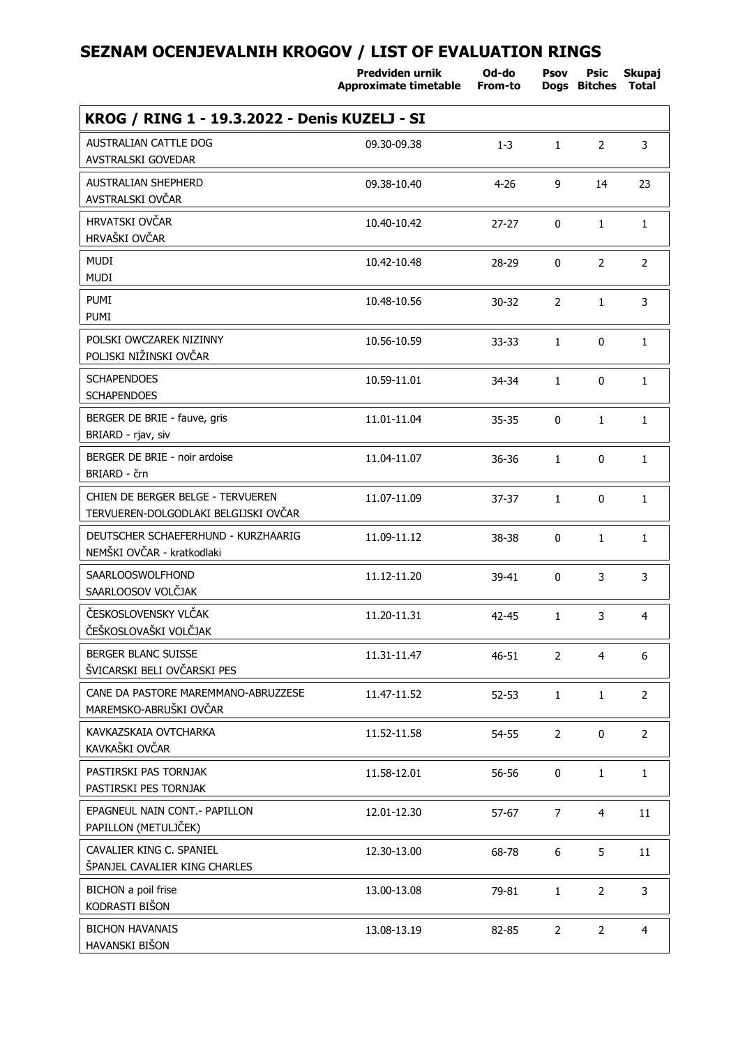|                                                                           | Predviden urnik<br><b>Approximate timetable</b> | Od-do<br>From-to | Psov           | Psic<br>Dogs Bitches | Skupaj<br><b>Total</b> |
|---------------------------------------------------------------------------|-------------------------------------------------|------------------|----------------|----------------------|------------------------|
| KROG / RING 1 - 19.3.2022 - Denis KUZELJ - SI                             |                                                 |                  |                |                      |                        |
| <b>AUSTRALIAN CATTLE DOG</b><br>AVSTRALSKI GOVEDAR                        | 09.30-09.38                                     | $1 - 3$          | $\mathbf{1}$   | $\overline{2}$       | 3                      |
| <b>AUSTRALIAN SHEPHERD</b><br>AVSTRALSKI OVČAR                            | 09.38-10.40                                     | $4 - 26$         | 9              | 14                   | 23                     |
| <b>HRVATSKI OVČAR</b><br>HRVAŠKI OVČAR                                    | 10.40-10.42                                     | $27 - 27$        | 0              | $\mathbf{1}$         | $\mathbf{1}$           |
| <b>MUDI</b><br><b>MUDI</b>                                                | 10.42-10.48                                     | 28-29            | $\mathbf{0}$   | $\overline{2}$       | $\overline{2}$         |
| PUMI<br>PUMI                                                              | 10.48-10.56                                     | $30 - 32$        | $\overline{2}$ | $\mathbf{1}$         | 3                      |
| POLSKI OWCZAREK NIZINNY<br>POLJSKI NIŽINSKI OVČAR                         | 10.56-10.59                                     | 33-33            | $\mathbf{1}$   | 0                    | $\mathbf{1}$           |
| <b>SCHAPENDOES</b><br><b>SCHAPENDOES</b>                                  | 10.59-11.01                                     | 34-34            | $\mathbf{1}$   | 0                    | $\mathbf{1}$           |
| BERGER DE BRIE - fauve, gris<br>BRIARD - rjav, siv                        | 11.01-11.04                                     | 35-35            | 0              | $\mathbf{1}$         | $\mathbf{1}$           |
| BERGER DE BRIE - noir ardoise<br>BRIARD - črn                             | 11.04-11.07                                     | 36-36            | $\mathbf{1}$   | 0                    | $\mathbf{1}$           |
| CHIEN DE BERGER BELGE - TERVUEREN<br>TERVUEREN-DOLGODLAKI BELGIJSKI OVČAR | 11.07-11.09                                     | 37-37            | $\mathbf{1}$   | 0                    | $\mathbf{1}$           |
| DEUTSCHER SCHAEFERHUND - KURZHAARIG<br>NEMŠKI OVČAR - kratkodlaki         | 11.09-11.12                                     | 38-38            | 0              | $\mathbf{1}$         | $\mathbf{1}$           |
| <b>SAARLOOSWOLFHOND</b><br>SAARLOOSOV VOLČJAK                             | 11.12-11.20                                     | 39-41            | 0              | 3                    | 3                      |
| ČESKOSLOVENSKY VLČAK<br>ČEŠKOSLOVAŠKI VOLČJAK                             | 11.20-11.31                                     | 42-45            | $\mathbf{1}$   | 3                    | $\overline{4}$         |
| <b>BERGER BLANC SUISSE</b><br>ŠVICARSKI BELI OVČARSKI PES                 | 11.31-11.47                                     | $46 - 51$        | $\overline{2}$ | $\overline{4}$       | 6                      |
| CANE DA PASTORE MAREMMANO-ABRUZZESE<br>MAREMSKO-ABRUŠKI OVČAR             | 11.47-11.52                                     | $52 - 53$        | $\mathbf{1}$   | $\mathbf{1}$         | $\overline{2}$         |
| KAVKAZSKAIA OVTCHARKA<br>KAVKAŠKI OVČAR                                   | 11.52-11.58                                     | 54-55            | $\overline{2}$ | $\mathbf{0}$         | $\overline{2}$         |
| PASTIRSKI PAS TORNJAK<br>PASTIRSKI PES TORNJAK                            | 11.58-12.01                                     | 56-56            | $\Omega$       | $\mathbf{1}$         | $\mathbf{1}$           |
| EPAGNEUL NAIN CONT.- PAPILLON<br>PAPILLON (METULJČEK)                     | 12.01-12.30                                     | 57-67            | 7              | $\overline{4}$       | 11                     |
| CAVALIER KING C. SPANIEL<br>ŠPANJEL CAVALIER KING CHARLES                 | 12.30-13.00                                     | 68-78            | 6              | 5                    | 11                     |
| BICHON a poil frise<br>KODRASTI BIŠON                                     | 13.00-13.08                                     | 79-81            | $\mathbf{1}$   | $\overline{2}$       | 3                      |
| <b>BICHON HAVANAIS</b><br>HAVANSKI BIŠON                                  | 13.08-13.19                                     | 82-85            | $\overline{2}$ | $\overline{2}$       | $\overline{4}$         |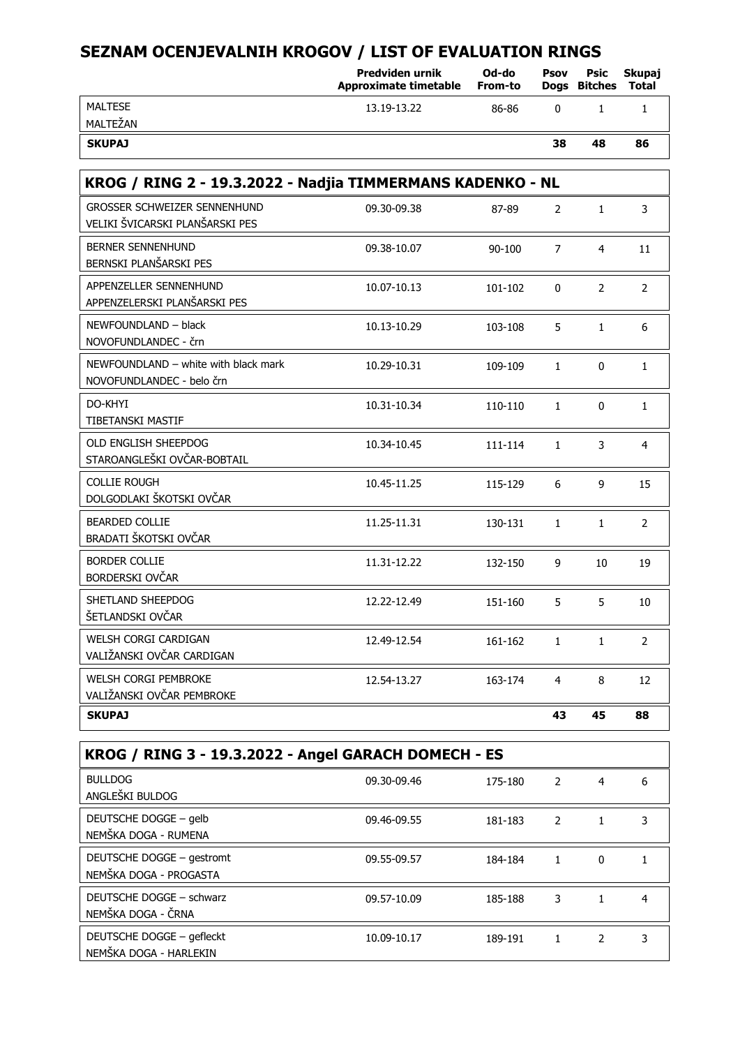|                                                                        | Predviden urnik<br>Approximate timetable | Od-do<br>From-to | Psov           | Psic<br><b>Doas Bitches</b> | Skupaj<br>Total |
|------------------------------------------------------------------------|------------------------------------------|------------------|----------------|-----------------------------|-----------------|
| <b>MALTESE</b>                                                         | 13.19-13.22                              | 86-86            | 0              | $\mathbf{1}$                | $\mathbf{1}$    |
| MALTEŽAN                                                               |                                          |                  |                |                             |                 |
| <b>SKUPAJ</b>                                                          |                                          |                  | 38             | 48                          | 86              |
| KROG / RING 2 - 19.3.2022 - Nadjia TIMMERMANS KADENKO - NL             |                                          |                  |                |                             |                 |
| <b>GROSSER SCHWEIZER SENNENHUND</b><br>VELIKI ŠVICARSKI PLANŠARSKI PES | 09.30-09.38                              | 87-89            | $\overline{2}$ | $\mathbf{1}$                | 3               |
| <b>BERNER SENNENHUND</b><br>BERNSKI PLANŠARSKI PES                     | 09.38-10.07                              | 90-100           | $\overline{7}$ | $\overline{4}$              | 11              |
| APPENZELLER SENNENHUND<br>APPENZELERSKI PLANŠARSKI PES                 | 10.07-10.13                              | 101-102          | $\Omega$       | $\overline{2}$              | $\overline{2}$  |
| NEWFOUNDLAND - black<br>NOVOFUNDLANDEC - črn                           | 10.13-10.29                              | 103-108          | 5              | $\mathbf{1}$                | 6               |
| NEWFOUNDLAND - white with black mark<br>NOVOFUNDLANDEC - belo črn      | 10.29-10.31                              | 109-109          | $\mathbf{1}$   | $\mathbf{0}$                | $\mathbf{1}$    |
| DO-KHYI<br>TIBETANSKI MASTIF                                           | 10.31-10.34                              | 110-110          | $\mathbf{1}$   | $\mathbf{0}$                | $\mathbf{1}$    |
| OLD ENGLISH SHEEPDOG<br>STAROANGLEŠKI OVČAR-BOBTAIL                    | 10.34-10.45                              | 111-114          | $\mathbf{1}$   | 3                           | 4               |
| <b>COLLIE ROUGH</b><br>DOLGODLAKI ŠKOTSKI OVČAR                        | 10.45-11.25                              | 115-129          | 6              | 9                           | 15              |
| <b>BEARDED COLLIE</b><br>BRADATI ŠKOTSKI OVČAR                         | 11.25-11.31                              | 130-131          | $\mathbf{1}$   | $\mathbf{1}$                | $\overline{2}$  |
| <b>BORDER COLLIE</b><br>BORDERSKI OVČAR                                | 11.31-12.22                              | 132-150          | 9              | 10                          | 19              |
| SHETLAND SHEEPDOG<br>ŠETLANDSKI OVČAR                                  | 12.22-12.49                              | 151-160          | 5              | 5                           | 10              |
| <b>WELSH CORGI CARDIGAN</b><br>VALIŽANSKI OVČAR CARDIGAN               | 12.49-12.54                              | 161-162          | $\mathbf{1}$   | $\mathbf{1}$                | $\overline{2}$  |
| <b>WELSH CORGI PEMBROKE</b><br>VALIŽANSKI OVČAR PEMBROKE               | 12.54-13.27                              | 163-174          | 4              | 8                           | 12              |
| <b>SKUPAJ</b>                                                          |                                          |                  | 43             | 45                          | 88              |
| KROG / RING 3 - 19.3.2022 - Angel GARACH DOMECH - ES                   |                                          |                  |                |                             |                 |
| <b>BULLDOG</b>                                                         | 09.30-09.46                              | 175-180          | $\overline{2}$ | 4                           | 6               |

| <b>BULLDOG</b><br>ANGLEŠKI BULDOG                   | 09.30-09.46 | 175-180 |   |   | 6 |
|-----------------------------------------------------|-------------|---------|---|---|---|
| DEUTSCHE DOGGE - gelb<br>NEMŠKA DOGA - RUMENA       | 09.46-09.55 | 181-183 | 2 |   |   |
| DEUTSCHE DOGGE - gestromt<br>NEMŠKA DOGA - PROGASTA | 09.55-09.57 | 184-184 |   | 0 |   |
| DEUTSCHE DOGGE - schwarz<br>NEMŠKA DOGA - ČRNA      | 09.57-10.09 | 185-188 | 3 |   | 4 |
| DEUTSCHE DOGGE - gefleckt<br>NEMŠKA DOGA - HARLEKIN | 10.09-10.17 | 189-191 |   | 2 |   |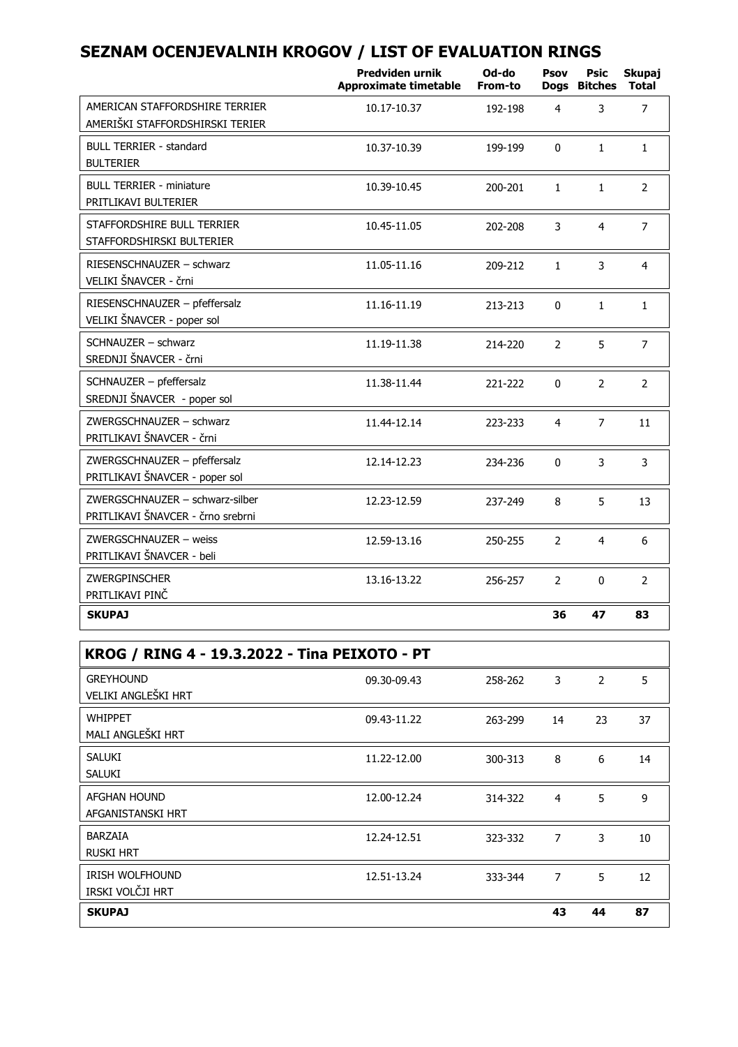|                                                                      | Predviden urnik<br><b>Approximate timetable</b> | Od-do<br>From-to | Psov           | Psic<br>Dogs Bitches | Skupaj<br>Total |
|----------------------------------------------------------------------|-------------------------------------------------|------------------|----------------|----------------------|-----------------|
| AMERICAN STAFFORDSHIRE TERRIER<br>AMERIŠKI STAFFORDSHIRSKI TERIER    | 10.17-10.37                                     | 192-198          | 4              | 3                    | $\overline{7}$  |
| BULL TERRIER - standard<br><b>BULTERIER</b>                          | 10.37-10.39                                     | 199-199          | $\Omega$       | $\mathbf{1}$         | $\mathbf{1}$    |
| <b>BULL TERRIER - miniature</b><br>PRITLIKAVI BULTERIER              | 10.39-10.45                                     | 200-201          | $\mathbf{1}$   | $\mathbf{1}$         | 2               |
| STAFFORDSHIRE BULL TERRIER<br>STAFFORDSHIRSKI BULTERIER              | 10.45-11.05                                     | 202-208          | 3              | $\overline{4}$       | $\overline{7}$  |
| RIESENSCHNAUZER - schwarz<br>VELIKI ŠNAVCER - črni                   | 11.05-11.16                                     | 209-212          | $\mathbf{1}$   | 3                    | 4               |
| RIESENSCHNAUZER - pfeffersalz<br>VELIKI ŠNAVCER - poper sol          | 11.16-11.19                                     | 213-213          | 0              | $\mathbf{1}$         | $\mathbf{1}$    |
| SCHNAUZER - schwarz<br>SREDNJI ŠNAVCER - črni                        | 11.19-11.38                                     | 214-220          | 2              | 5                    | 7               |
| SCHNAUZER - pfeffersalz<br>SREDNJI ŠNAVCER - poper sol               | 11.38-11.44                                     | 221-222          | 0              | 2                    | 2               |
| ZWERGSCHNAUZER - schwarz<br>PRITLIKAVI ŠNAVCER - črni                | 11.44-12.14                                     | 223-233          | 4              | $\overline{7}$       | 11              |
| ZWERGSCHNAUZER - pfeffersalz<br>PRITLIKAVI ŠNAVCER - poper sol       | 12.14-12.23                                     | 234-236          | $\Omega$       | 3                    | 3               |
| ZWERGSCHNAUZER - schwarz-silber<br>PRITLIKAVI ŠNAVCER - črno srebrni | 12.23-12.59                                     | 237-249          | 8              | 5                    | 13              |
| ZWERGSCHNAUZER - weiss<br>PRITLIKAVI ŠNAVCER - beli                  | 12.59-13.16                                     | 250-255          | $\overline{2}$ | 4                    | 6               |
| <b>ZWERGPINSCHER</b><br>PRITLIKAVI PINČ                              | 13.16-13.22                                     | 256-257          | $\overline{2}$ | 0                    | 2               |
| <b>SKUPAJ</b>                                                        |                                                 |                  | 36             | 47                   | 83              |
| KROG / RING 4 - 19.3.2022 - Tina PEIXOTO - PT                        |                                                 |                  |                |                      |                 |

| KROG / RING 4 - 19.3.2022 - Tina PEIXOTO - PT |             |         |    |    |    |
|-----------------------------------------------|-------------|---------|----|----|----|
| <b>GREYHOUND</b><br>VELIKI ANGLEŠKI HRT       | 09.30-09.43 | 258-262 | 3  | 2  | 5  |
| <b>WHIPPET</b><br>MALI ANGLEŠKI HRT           | 09.43-11.22 | 263-299 | 14 | 23 | 37 |
| SALUKI<br>SALUKI                              | 11.22-12.00 | 300-313 | 8  | 6  | 14 |
| <b>AFGHAN HOUND</b><br>AFGANISTANSKI HRT      | 12.00-12.24 | 314-322 | 4  | 5  | 9  |
| <b>BARZAIA</b><br><b>RUSKI HRT</b>            | 12.24-12.51 | 323-332 | 7  | 3  | 10 |
| <b>IRISH WOLFHOUND</b><br>IRSKI VOLČJI HRT    | 12.51-13.24 | 333-344 | 7  | 5  | 12 |
| <b>SKUPAJ</b>                                 |             |         | 43 | 44 | 87 |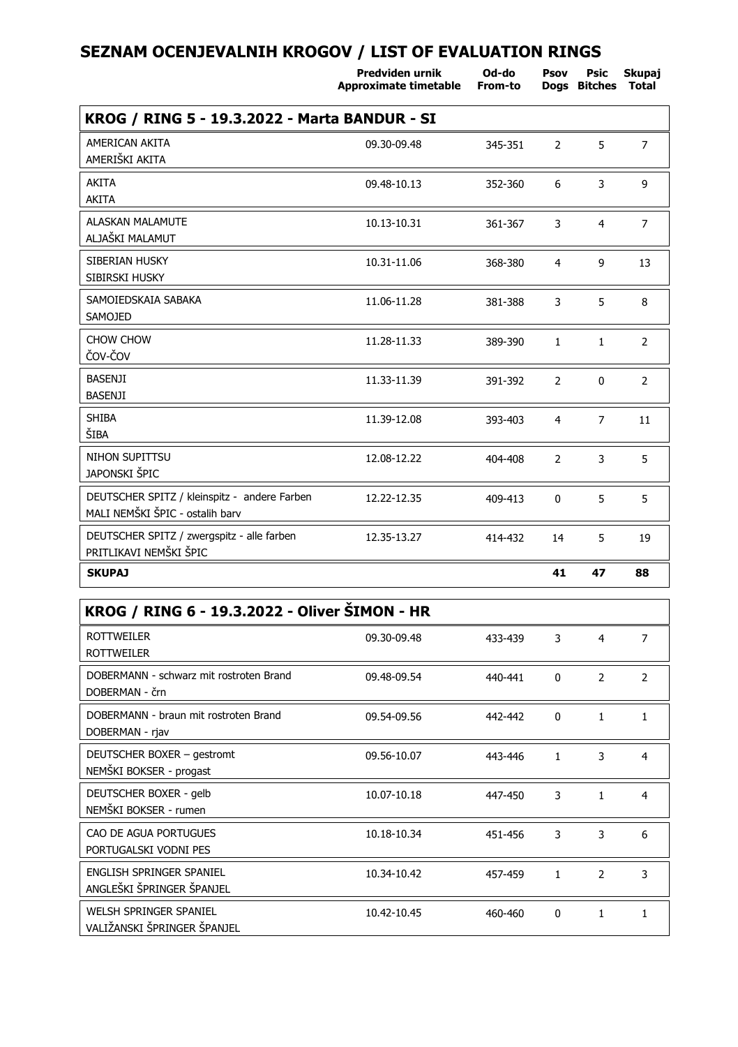**Predviden urnik**

**Psov**

**Od-do**

**Psic Skupaj**

|                                                                                 | Approximate timetable | From-to |                | Dogs Bitches Total |                |
|---------------------------------------------------------------------------------|-----------------------|---------|----------------|--------------------|----------------|
| KROG / RING 5 - 19.3.2022 - Marta BANDUR - SI                                   |                       |         |                |                    |                |
| AMERICAN AKITA<br>AMERIŠKI AKITA                                                | 09.30-09.48           | 345-351 | $\overline{2}$ | 5                  | $\overline{7}$ |
| <b>AKITA</b><br>AKITA                                                           | 09.48-10.13           | 352-360 | 6              | 3                  | 9              |
| <b>ALASKAN MALAMUTE</b><br>ALJAŠKI MALAMUT                                      | 10.13-10.31           | 361-367 | 3              | $\overline{4}$     | $\overline{7}$ |
| SIBERIAN HUSKY<br>SIBIRSKI HUSKY                                                | 10.31-11.06           | 368-380 | 4              | 9                  | 13             |
| SAMOIEDSKAIA SABAKA<br>SAMOJED                                                  | 11.06-11.28           | 381-388 | 3              | 5                  | 8              |
| CHOW CHOW<br>ČOV-ČOV                                                            | 11.28-11.33           | 389-390 | $\mathbf{1}$   | $\mathbf{1}$       | $\overline{2}$ |
| <b>BASENJI</b><br><b>BASENJI</b>                                                | 11.33-11.39           | 391-392 | $\overline{2}$ | 0                  | $\overline{2}$ |
| <b>SHIBA</b><br>ŠIBA                                                            | 11.39-12.08           | 393-403 | $\overline{4}$ | $\overline{7}$     | 11             |
| NIHON SUPITTSU<br>JAPONSKI ŠPIC                                                 | 12.08-12.22           | 404-408 | $\overline{2}$ | 3                  | 5              |
| DEUTSCHER SPITZ / kleinspitz - andere Farben<br>MALI NEMŠKI ŠPIC - ostalih barv | 12.22-12.35           | 409-413 | $\mathbf 0$    | 5                  | 5              |
| DEUTSCHER SPITZ / zwergspitz - alle farben<br>PRITLIKAVI NEMŠKI ŠPIC            | 12.35-13.27           | 414-432 | 14             | 5                  | 19             |
| <b>SKUPAJ</b>                                                                   |                       |         | 41             | 47                 | 88             |

| KROG / RING 6 - 19.3.2022 - Oliver SIMON - HR             |             |         |          |                |               |
|-----------------------------------------------------------|-------------|---------|----------|----------------|---------------|
| <b>ROTTWEILER</b><br><b>ROTTWEILER</b>                    | 09.30-09.48 | 433-439 | 3        | 4              | 7             |
| DOBERMANN - schwarz mit rostroten Brand<br>DOBERMAN - črn | 09.48-09.54 | 440-441 | $\Omega$ | 2              | $\mathcal{P}$ |
| DOBERMANN - braun mit rostroten Brand<br>DOBERMAN - rjav  | 09.54-09.56 | 442-442 | $\Omega$ | 1              | 1             |
| DEUTSCHER BOXER - gestromt<br>NEMŠKI BOKSER - progast     | 09.56-10.07 | 443-446 | 1        | 3              | 4             |
| DEUTSCHER BOXER - gelb<br>NEMŠKI BOKSER - rumen           | 10.07-10.18 | 447-450 | 3        | 1              | 4             |
| CAO DE AGUA PORTUGUES<br>PORTUGALSKI VODNI PES            | 10.18-10.34 | 451-456 | 3        | 3              | 6             |
| ENGLISH SPRINGER SPANIEL<br>ANGLEŠKI ŠPRINGER ŠPANJEL     | 10.34-10.42 | 457-459 | 1        | $\overline{2}$ | 3             |
| WELSH SPRINGER SPANIEL<br>VALIŽANSKI ŠPRINGER ŠPANJEL     | 10.42-10.45 | 460-460 | $\Omega$ | $\mathbf{1}$   | 1             |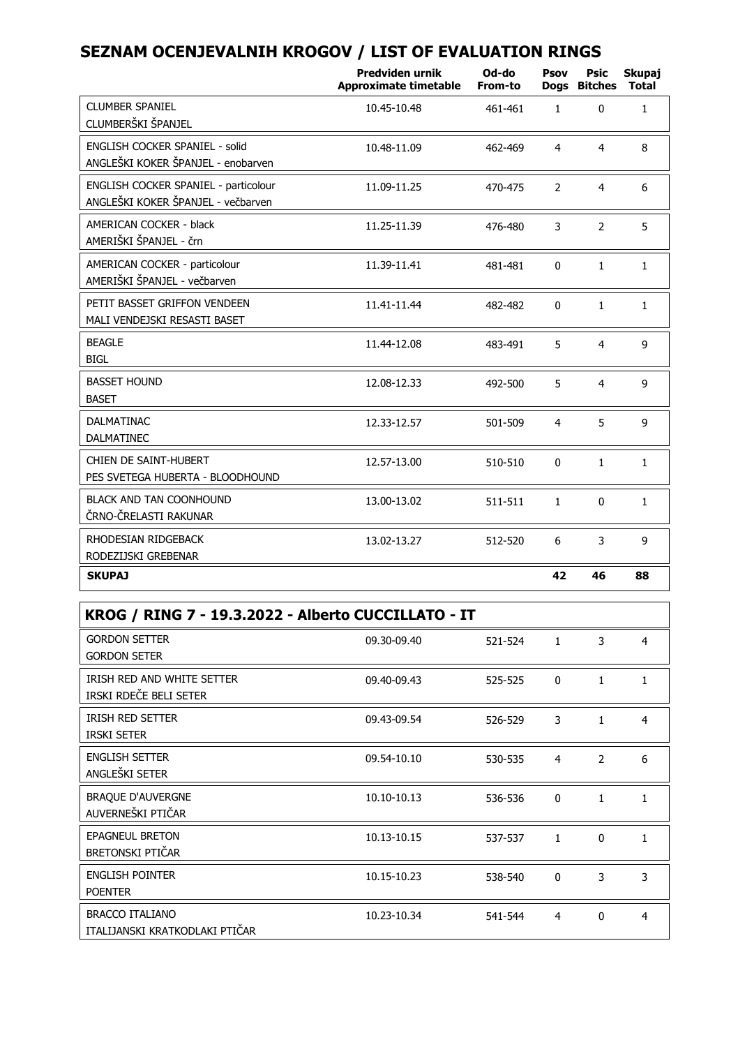|                                                                             | <b>Predviden urnik</b><br><b>Approximate timetable</b> | Od-do<br>From-to | Psov           | Psic<br>Dogs Bitches | Skupaj<br><b>Total</b> |
|-----------------------------------------------------------------------------|--------------------------------------------------------|------------------|----------------|----------------------|------------------------|
| <b>CLUMBER SPANIEL</b><br>CLUMBERŠKI ŠPANJEL                                | 10.45-10.48                                            | 461-461          | $\mathbf{1}$   | $\Omega$             | $\mathbf{1}$           |
| <b>ENGLISH COCKER SPANIEL - solid</b><br>ANGLEŠKI KOKER ŠPANJEL - enobarven | 10.48-11.09                                            | 462-469          | 4              | 4                    | 8                      |
| ENGLISH COCKER SPANIEL - particolour<br>ANGLEŠKI KOKER ŠPANJEL - večbarven  | 11.09-11.25                                            | 470-475          | $\overline{2}$ | $\overline{4}$       | 6                      |
| AMERICAN COCKER - black<br>AMERIŠKI ŠPANJEL - črn                           | 11.25-11.39                                            | 476-480          | 3              | $\overline{2}$       | 5                      |
| AMERICAN COCKER - particolour<br>AMERIŠKI ŠPANJEL - večbarven               | 11.39-11.41                                            | 481-481          | $\mathbf{0}$   | $\mathbf{1}$         | $\mathbf{1}$           |
| PETIT BASSET GRIFFON VENDEEN<br>MALI VENDEJSKI RESASTI BASET                | 11.41-11.44                                            | 482-482          | $\mathbf{0}$   | $\mathbf{1}$         | $\mathbf{1}$           |
| <b>BEAGLE</b><br><b>BIGL</b>                                                | 11.44-12.08                                            | 483-491          | 5              | 4                    | 9                      |
| <b>BASSET HOUND</b><br><b>BASET</b>                                         | 12.08-12.33                                            | 492-500          | 5              | $\overline{4}$       | 9                      |
| <b>DALMATINAC</b><br><b>DALMATINEC</b>                                      | 12.33-12.57                                            | 501-509          | 4              | 5                    | 9                      |
| CHIEN DE SAINT-HUBERT<br>PES SVETEGA HUBERTA - BLOODHOUND                   | 12.57-13.00                                            | 510-510          | $\mathbf{0}$   | $\mathbf{1}$         | $\mathbf{1}$           |
| BLACK AND TAN COONHOUND<br>ČRNO-ČRELASTI RAKUNAR                            | 13.00-13.02                                            | 511-511          | $\mathbf{1}$   | $\mathbf{0}$         | $\mathbf{1}$           |
| RHODESIAN RIDGEBACK<br>RODEZIJSKI GREBENAR                                  | 13.02-13.27                                            | 512-520          | 6              | 3                    | 9                      |
| <b>SKUPAJ</b>                                                               |                                                        |                  | 42             | 46                   | 88                     |

| KROG / RING 7 - 19.3.2022 - Alberto CUCCILLATO - IT      |             |         |                |                |              |  |
|----------------------------------------------------------|-------------|---------|----------------|----------------|--------------|--|
| <b>GORDON SETTER</b><br><b>GORDON SETER</b>              | 09.30-09.40 | 521-524 | $\mathbf{1}$   | 3              | 4            |  |
| IRISH RED AND WHITE SETTER<br>IRSKI RDEČE BELI SETER     | 09.40-09.43 | 525-525 | $\Omega$       | $\mathbf{1}$   | $\mathbf{1}$ |  |
| <b>IRISH RED SETTER</b><br><b>IRSKI SETER</b>            | 09.43-09.54 | 526-529 | 3              | 1              | 4            |  |
| <b>ENGLISH SETTER</b><br>ANGLEŠKI SETER                  | 09.54-10.10 | 530-535 | $\overline{4}$ | $\overline{2}$ | 6            |  |
| <b>BRAQUE D'AUVERGNE</b><br>AUVERNEŠKI PTIČAR            | 10.10-10.13 | 536-536 | $\Omega$       | 1              | $\mathbf{1}$ |  |
| <b>EPAGNEUL BRETON</b><br>BRETONSKI PTIČAR               | 10.13-10.15 | 537-537 | $\mathbf{1}$   | $\Omega$       | $\mathbf{1}$ |  |
| <b>ENGLISH POINTER</b><br><b>POENTER</b>                 | 10.15-10.23 | 538-540 | $\Omega$       | 3              | 3            |  |
| <b>BRACCO ITALIANO</b><br>ITALIJANSKI KRATKODLAKI PTIČAR | 10.23-10.34 | 541-544 | $\overline{4}$ | $\Omega$       | 4            |  |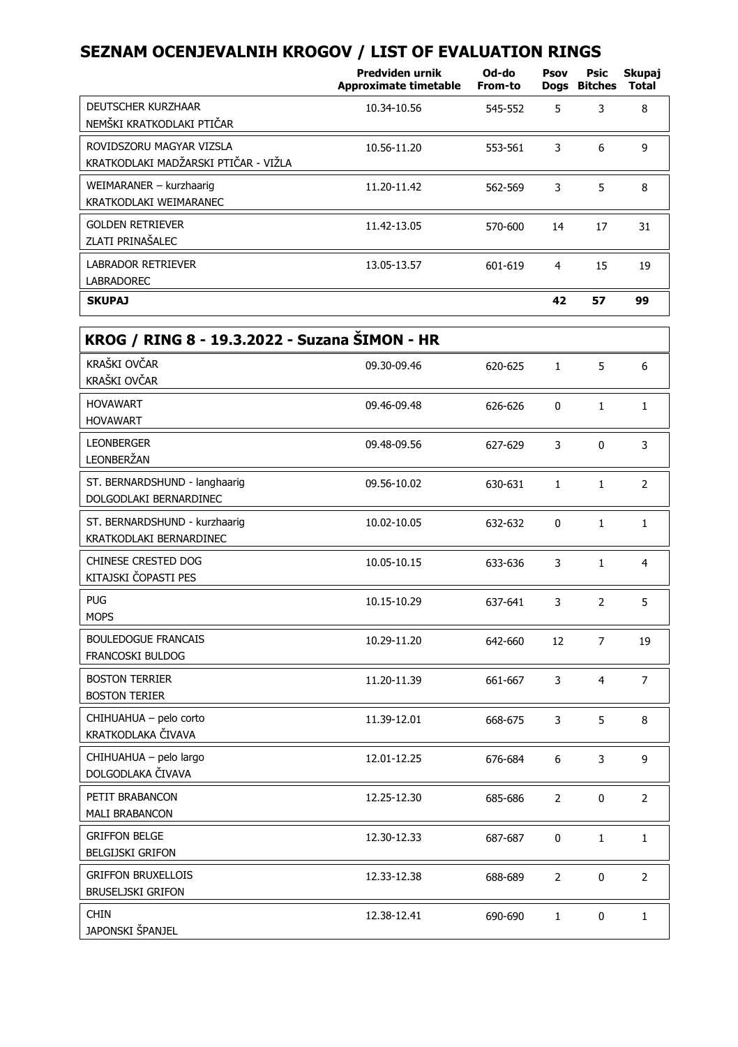|                                                                  | Predviden urnik<br>Approximate timetable | Od-do<br>From-to | Psov | Psic<br>Dogs Bitches | Skupaj<br>Total |
|------------------------------------------------------------------|------------------------------------------|------------------|------|----------------------|-----------------|
| DEUTSCHER KURZHAAR<br>NEMŠKI KRATKODLAKI PTIČAR                  | 10.34-10.56                              | 545-552          | 5    | 3                    | 8               |
| ROVIDSZORU MAGYAR VIZSLA<br>KRATKODLAKI MADŽARSKI PTIČAR - VIŽLA | 10.56-11.20                              | 553-561          | 3    | 6                    | 9               |
| WEIMARANER - kurzhaarig<br>KRATKODLAKI WEIMARANEC                | 11.20-11.42                              | 562-569          | 3    | 5                    | 8               |
| <b>GOLDEN RETRIEVER</b><br>ZLATI PRINAŠALEC                      | 11.42-13.05                              | 570-600          | 14   | 17                   | 31              |
| <b>LABRADOR RETRIEVER</b><br>LABRADOREC                          | 13.05-13.57                              | 601-619          | 4    | 15                   | 19              |
| <b>SKUPAJ</b>                                                    |                                          |                  | 42   | 57                   | 99              |

| KROG / RING 8 - 19.3.2022 - Suzana SIMON - HR            |             |         |                |                |                |  |  |
|----------------------------------------------------------|-------------|---------|----------------|----------------|----------------|--|--|
| KRAŠKI OVČAR<br>KRAŠKI OVČAR                             | 09.30-09.46 | 620-625 | $\mathbf{1}$   | 5              | 6              |  |  |
| <b>HOVAWART</b><br><b>HOVAWART</b>                       | 09.46-09.48 | 626-626 | 0              | $\mathbf{1}$   | $\mathbf{1}$   |  |  |
| <b>LEONBERGER</b><br>LEONBERŽAN                          | 09.48-09.56 | 627-629 | 3              | 0              | 3              |  |  |
| ST. BERNARDSHUND - langhaarig<br>DOLGODLAKI BERNARDINEC  | 09.56-10.02 | 630-631 | $\mathbf{1}$   | $\mathbf{1}$   | 2              |  |  |
| ST. BERNARDSHUND - kurzhaarig<br>KRATKODLAKI BERNARDINEC | 10.02-10.05 | 632-632 | 0              | $\mathbf{1}$   | 1              |  |  |
| CHINESE CRESTED DOG<br>KITAJSKI ČOPASTI PES              | 10.05-10.15 | 633-636 | 3              | $\mathbf{1}$   | $\overline{4}$ |  |  |
| <b>PUG</b><br><b>MOPS</b>                                | 10.15-10.29 | 637-641 | 3              | $\overline{2}$ | 5              |  |  |
| <b>BOULEDOGUE FRANCAIS</b><br><b>FRANCOSKI BULDOG</b>    | 10.29-11.20 | 642-660 | 12             | $\overline{7}$ | 19             |  |  |
| <b>BOSTON TERRIER</b><br><b>BOSTON TERIER</b>            | 11.20-11.39 | 661-667 | 3              | 4              | $\overline{7}$ |  |  |
| CHIHUAHUA - pelo corto<br>KRATKODLAKA ČIVAVA             | 11.39-12.01 | 668-675 | 3              | 5              | 8              |  |  |
| CHIHUAHUA - pelo largo<br>DOLGODLAKA ČIVAVA              | 12.01-12.25 | 676-684 | 6              | 3              | 9              |  |  |
| PETIT BRABANCON<br><b>MALI BRABANCON</b>                 | 12.25-12.30 | 685-686 | $\overline{2}$ | $\mathbf 0$    | $\overline{2}$ |  |  |
| <b>GRIFFON BELGE</b><br><b>BELGIJSKI GRIFON</b>          | 12.30-12.33 | 687-687 | 0              | $\mathbf{1}$   | $\mathbf{1}$   |  |  |
| <b>GRIFFON BRUXELLOIS</b><br><b>BRUSELJSKI GRIFON</b>    | 12.33-12.38 | 688-689 | $\overline{2}$ | $\mathbf{0}$   | $\overline{2}$ |  |  |
| <b>CHIN</b><br>JAPONSKI ŠPANJEL                          | 12.38-12.41 | 690-690 | $\mathbf{1}$   | 0              | $\mathbf{1}$   |  |  |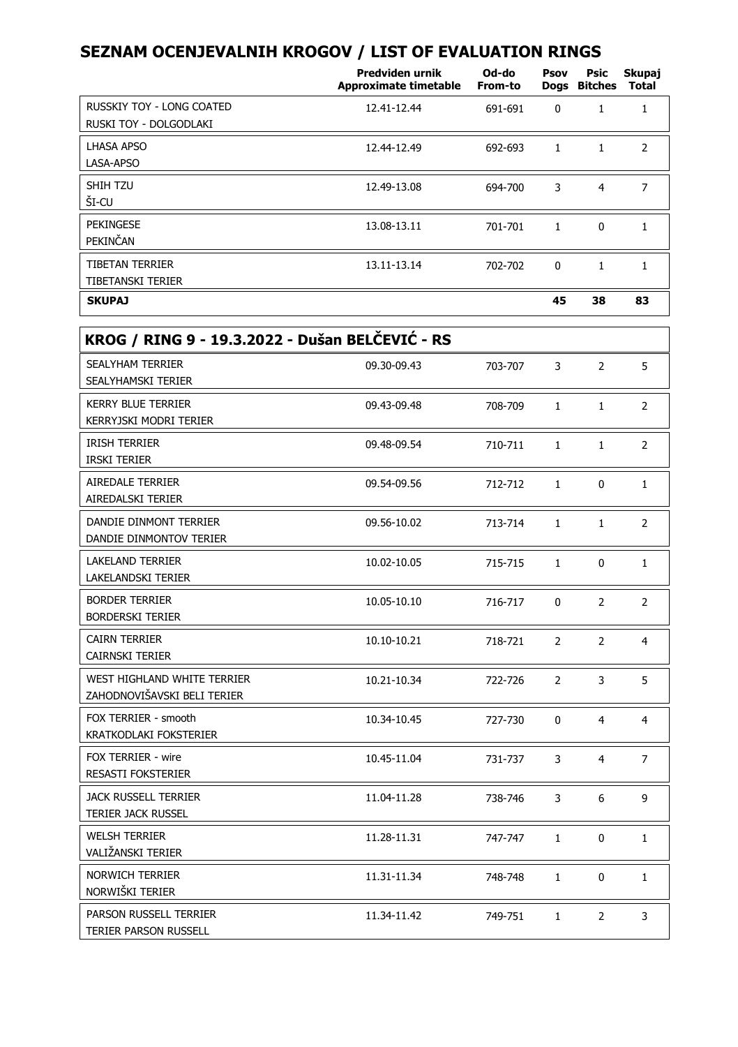|                                                     | Predviden urnik<br>Approximate timetable | Od-do<br>From-to | Psov | Psic<br>Dogs Bitches | Skupaj<br><b>Total</b> |
|-----------------------------------------------------|------------------------------------------|------------------|------|----------------------|------------------------|
| RUSSKIY TOY - LONG COATED<br>RUSKI TOY - DOLGODLAKI | 12.41-12.44                              | 691-691          | 0    | 1                    | 1                      |
| LHASA APSO<br>LASA-APSO                             | 12.44-12.49                              | 692-693          | 1    | 1                    | $\overline{2}$         |
| SHIH TZU<br>ŠI-CU                                   | 12.49-13.08                              | 694-700          | 3    | 4                    | 7                      |
| PEKINGESE<br>PEKINČAN                               | 13.08-13.11                              | 701-701          | 1    | 0                    | 1                      |
| <b>TIBETAN TERRIER</b><br>TIBETANSKI TERIER         | 13.11-13.14                              | 702-702          | 0    | 1                    | 1                      |
| <b>SKUPAJ</b>                                       |                                          |                  | 45   | 38                   | 83                     |

 $\overline{\phantom{a}}$ 

| KROG / RING 9 - 19.3.2022 - Dušan BELČEVIĆ - RS            |             |         |                |                |                |
|------------------------------------------------------------|-------------|---------|----------------|----------------|----------------|
| <b>SEALYHAM TERRIER</b><br>SEALYHAMSKI TERIER              | 09.30-09.43 | 703-707 | 3              | 2              | 5              |
| <b>KERRY BLUE TERRIER</b><br>KERRYJSKI MODRI TERIER        | 09.43-09.48 | 708-709 | $\mathbf{1}$   | $\mathbf{1}$   | 2              |
| <b>IRISH TERRIER</b><br><b>IRSKI TERIER</b>                | 09.48-09.54 | 710-711 | $\mathbf{1}$   | $\mathbf{1}$   | $\overline{2}$ |
| <b>AIREDALE TERRIER</b><br>AIREDALSKI TERIER               | 09.54-09.56 | 712-712 | $\mathbf{1}$   | 0              | $\mathbf{1}$   |
| DANDIE DINMONT TERRIER<br>DANDIE DINMONTOV TERIER          | 09.56-10.02 | 713-714 | $\mathbf{1}$   | $\mathbf{1}$   | $\overline{2}$ |
| <b>LAKELAND TERRIER</b><br>LAKELANDSKI TERIER              | 10.02-10.05 | 715-715 | $\mathbf{1}$   | 0              | $\mathbf{1}$   |
| <b>BORDER TERRIER</b><br><b>BORDERSKI TERIER</b>           | 10.05-10.10 | 716-717 | $\Omega$       | $\overline{2}$ | 2              |
| <b>CAIRN TERRIER</b><br><b>CAIRNSKI TERIER</b>             | 10.10-10.21 | 718-721 | 2              | 2              | 4              |
| WEST HIGHLAND WHITE TERRIER<br>ZAHODNOVIŠAVSKI BELI TERIER | 10.21-10.34 | 722-726 | $\overline{2}$ | 3              | 5.             |
| FOX TERRIER - smooth<br>KRATKODLAKI FOKSTERIER             | 10.34-10.45 | 727-730 | $\Omega$       | 4              | 4              |
| FOX TERRIER - wire<br><b>RESASTI FOKSTERIER</b>            | 10.45-11.04 | 731-737 | 3              | 4              | $\overline{7}$ |
| <b>JACK RUSSELL TERRIER</b><br><b>TERIER JACK RUSSEL</b>   | 11.04-11.28 | 738-746 | 3              | 6              | 9              |
| <b>WELSH TERRIER</b><br>VALIŽANSKI TERIER                  | 11.28-11.31 | 747-747 | $\mathbf{1}$   | 0              | $\mathbf{1}$   |
| <b>NORWICH TERRIER</b><br>NORWIŠKI TERIER                  | 11.31-11.34 | 748-748 | $\mathbf{1}$   | $\Omega$       | $\mathbf{1}$   |
| PARSON RUSSELL TERRIER<br>TERIER PARSON RUSSELL            | 11.34-11.42 | 749-751 | $\mathbf{1}$   | $\overline{2}$ | 3              |
|                                                            |             |         |                |                |                |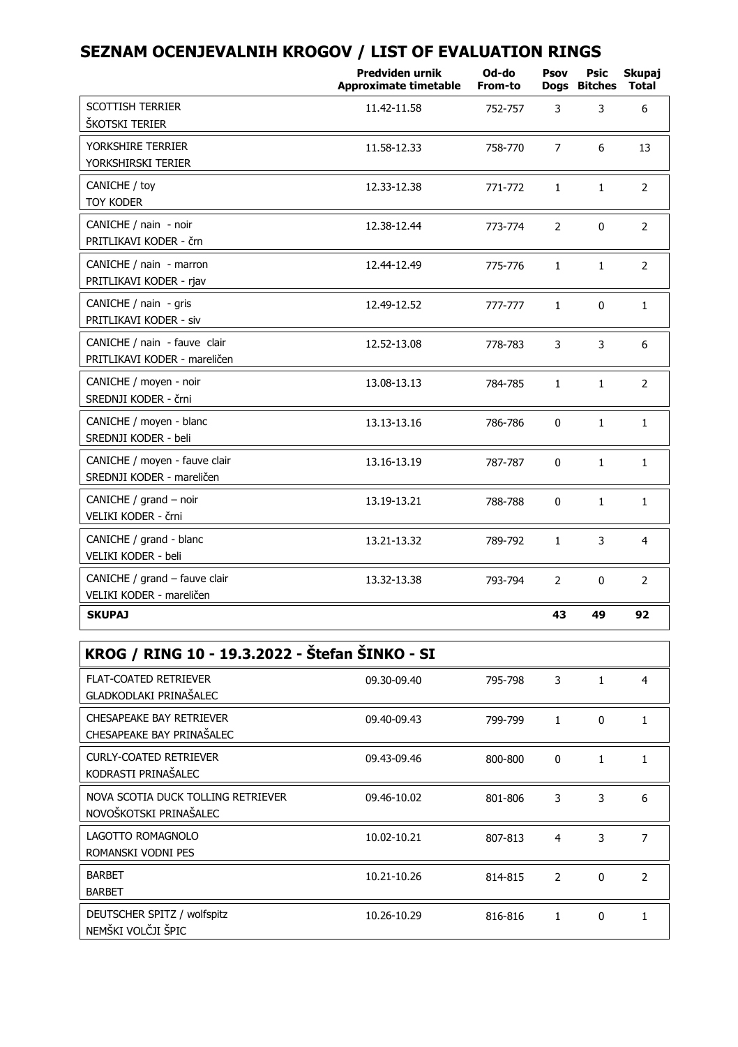|                                                              | Predviden urnik<br><b>Approximate timetable</b> | Od-do<br>From-to | Psov           | Psic<br>Dogs Bitches | Skupaj<br><b>Total</b> |
|--------------------------------------------------------------|-------------------------------------------------|------------------|----------------|----------------------|------------------------|
| <b>SCOTTISH TERRIER</b><br>ŠKOTSKI TERIER                    | 11.42-11.58                                     | 752-757          | 3              | 3                    | 6                      |
| YORKSHIRE TERRIER<br>YORKSHIRSKI TERIER                      | 11.58-12.33                                     | 758-770          | $\overline{7}$ | 6                    | 13                     |
| CANICHE / toy<br><b>TOY KODER</b>                            | 12.33-12.38                                     | 771-772          | $\mathbf{1}$   | $\mathbf{1}$         | $\overline{2}$         |
| CANICHE / nain - noir<br>PRITLIKAVI KODER - črn              | 12.38-12.44                                     | 773-774          | $\overline{2}$ | $\Omega$             | $\overline{2}$         |
| CANICHE / nain - marron<br>PRITLIKAVI KODER - rjav           | 12.44-12.49                                     | 775-776          | $\mathbf{1}$   | $\mathbf{1}$         | $\overline{2}$         |
| CANICHE / nain - gris<br>PRITLIKAVI KODER - siv              | 12.49-12.52                                     | 777-777          | $\mathbf{1}$   | $\Omega$             | $\mathbf{1}$           |
| CANICHE / nain - fauve clair<br>PRITLIKAVI KODER - mareličen | 12.52-13.08                                     | 778-783          | 3              | 3                    | 6                      |
| CANICHE / moyen - noir<br>SREDNJI KODER - črni               | 13.08-13.13                                     | 784-785          | $\mathbf{1}$   | $\mathbf{1}$         | $\overline{2}$         |
| CANICHE / moyen - blanc<br>SREDNJI KODER - beli              | 13.13-13.16                                     | 786-786          | $\Omega$       | $\mathbf{1}$         | $\mathbf{1}$           |
| CANICHE / moyen - fauve clair<br>SREDNJI KODER - mareličen   | 13.16-13.19                                     | 787-787          | $\Omega$       | $\mathbf{1}$         | $\mathbf{1}$           |
| CANICHE / grand - noir<br>VELIKI KODER - črni                | 13.19-13.21                                     | 788-788          | $\Omega$       | $\mathbf{1}$         | $\mathbf{1}$           |
| CANICHE / grand - blanc<br>VELIKI KODER - beli               | 13.21-13.32                                     | 789-792          | $\mathbf{1}$   | 3                    | 4                      |
| CANICHE / grand - fauve clair<br>VELIKI KODER - mareličen    | 13.32-13.38                                     | 793-794          | $\overline{2}$ | $\Omega$             | $\overline{2}$         |
| <b>SKUPAJ</b>                                                |                                                 |                  | 43             | 49                   | 92                     |

| KROG / RING 10 - 19.3.2022 - Štefan ŠINKO - SI               |             |         |              |              |                |
|--------------------------------------------------------------|-------------|---------|--------------|--------------|----------------|
| FLAT-COATED RETRIEVER<br>GLADKODLAKI PRINAŠALEC              | 09.30-09.40 | 795-798 | 3            |              | 4              |
| CHESAPEAKE BAY RETRIEVER<br>CHESAPEAKE BAY PRINAŠALEC        | 09.40-09.43 | 799-799 | 1            | 0            | 1              |
| <b>CURLY-COATED RETRIEVER</b><br>KODRASTI PRINAŠALEC         | 09.43-09.46 | 800-800 | $\mathbf{0}$ | $\mathbf{1}$ | 1              |
| NOVA SCOTIA DUCK TOLLING RETRIEVER<br>NOVOŠKOTSKI PRINAŠALEC | 09.46-10.02 | 801-806 | 3            | 3            | 6              |
| LAGOTTO ROMAGNOLO<br>ROMANSKI VODNI PES                      | 10.02-10.21 | 807-813 | 4            | 3            | 7              |
| <b>BARBET</b><br><b>BARBET</b>                               | 10.21-10.26 | 814-815 | 2            | 0            | $\overline{2}$ |
| DEUTSCHER SPITZ / wolfspitz<br>NEMŠKI VOLČJI ŠPIC            | 10.26-10.29 | 816-816 | $\mathbf{1}$ | 0            | 1              |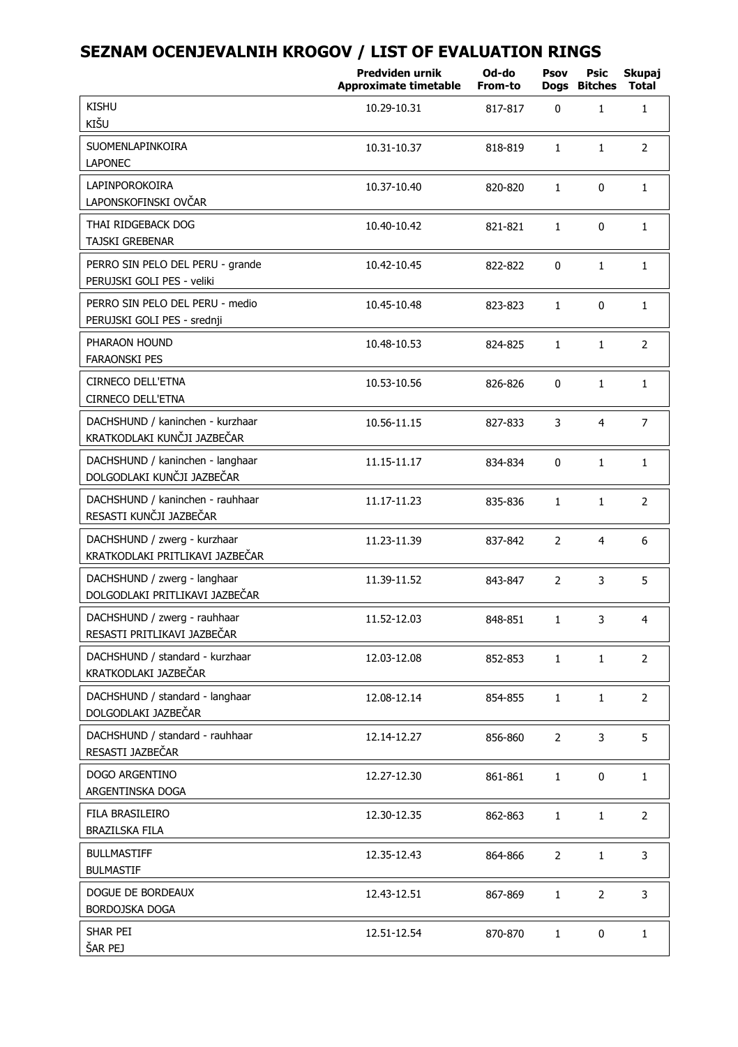|                                                                 | Predviden urnik<br><b>Approximate timetable</b> | Od-do<br>From-to | Psov<br>Dogs   | Psic<br><b>Bitches</b> | Skupaj<br><b>Total</b> |
|-----------------------------------------------------------------|-------------------------------------------------|------------------|----------------|------------------------|------------------------|
| <b>KISHU</b><br>KIŠU                                            | 10.29-10.31                                     | 817-817          | 0              | $\mathbf{1}$           | $\mathbf{1}$           |
| SUOMENLAPINKOIRA<br><b>LAPONEC</b>                              | 10.31-10.37                                     | 818-819          | 1              | $\mathbf{1}$           | $\overline{2}$         |
| LAPINPOROKOIRA<br>LAPONSKOFINSKI OVČAR                          | 10.37-10.40                                     | 820-820          | 1              | 0                      | $\mathbf{1}$           |
| THAI RIDGEBACK DOG<br><b>TAJSKI GREBENAR</b>                    | 10.40-10.42                                     | 821-821          | $\mathbf{1}$   | 0                      | $\mathbf{1}$           |
| PERRO SIN PELO DEL PERU - grande<br>PERUJSKI GOLI PES - veliki  | 10.42-10.45                                     | 822-822          | 0              | $\mathbf{1}$           | $\mathbf{1}$           |
| PERRO SIN PELO DEL PERU - medio<br>PERUJSKI GOLI PES - srednji  | 10.45-10.48                                     | 823-823          | $\mathbf{1}$   | 0                      | $\mathbf{1}$           |
| PHARAON HOUND<br><b>FARAONSKI PES</b>                           | 10.48-10.53                                     | 824-825          | $\mathbf{1}$   | $\mathbf{1}$           | $\overline{2}$         |
| <b>CIRNECO DELL'ETNA</b><br>CIRNECO DELL'ETNA                   | 10.53-10.56                                     | 826-826          | 0              | $\mathbf{1}$           | $\mathbf{1}$           |
| DACHSHUND / kaninchen - kurzhaar<br>KRATKODLAKI KUNČJI JAZBEČAR | 10.56-11.15                                     | 827-833          | 3              | $\overline{4}$         | $\overline{7}$         |
| DACHSHUND / kaninchen - langhaar<br>DOLGODLAKI KUNČJI JAZBEČAR  | 11.15-11.17                                     | 834-834          | 0              | $\mathbf{1}$           | $\mathbf{1}$           |
| DACHSHUND / kaninchen - rauhhaar<br>RESASTI KUNČJI JAZBEČAR     | 11.17-11.23                                     | 835-836          | $\mathbf{1}$   | $\mathbf{1}$           | $\overline{2}$         |
| DACHSHUND / zwerg - kurzhaar<br>KRATKODLAKI PRITLIKAVI JAZBEČAR | 11.23-11.39                                     | 837-842          | 2              | $\overline{4}$         | 6                      |
| DACHSHUND / zwerg - langhaar<br>DOLGODLAKI PRITLIKAVI JAZBEČAR  | 11.39-11.52                                     | 843-847          | $\overline{2}$ | 3                      | 5                      |
| DACHSHUND / zwerg - rauhhaar<br>RESASTI PRITLIKAVI JAZBEČAR     | 11.52-12.03                                     | 848-851          | $\mathbf{1}$   | 3                      | $\overline{4}$         |
| DACHSHUND / standard - kurzhaar<br>KRATKODLAKI JAZBEČAR         | 12.03-12.08                                     | 852-853          | $\mathbf{1}$   | $\mathbf{1}$           | $\overline{2}$         |
| DACHSHUND / standard - langhaar<br>DOLGODLAKI JAZBEČAR          | 12.08-12.14                                     | 854-855          | $\mathbf{1}$   | $\mathbf{1}$           | $\overline{2}$         |
| DACHSHUND / standard - rauhhaar<br>RESASTI JAZBEČAR             | 12.14-12.27                                     | 856-860          | $\overline{2}$ | 3                      | 5                      |
| DOGO ARGENTINO<br>ARGENTINSKA DOGA                              | 12.27-12.30                                     | 861-861          | $\mathbf{1}$   | $\mathbf{0}$           | $1\,$                  |
| FILA BRASILEIRO<br>BRAZILSKA FILA                               | 12.30-12.35                                     | 862-863          | 1              | $\mathbf{1}$           | $\overline{2}$         |
| <b>BULLMASTIFF</b><br><b>BULMASTIF</b>                          | 12.35-12.43                                     | 864-866          | $\overline{2}$ | $\mathbf{1}$           | 3                      |
| DOGUE DE BORDEAUX<br><b>BORDOJSKA DOGA</b>                      | 12.43-12.51                                     | 867-869          | $\mathbf{1}$   | $\overline{2}$         | 3                      |
| SHAR PEI<br>ŠAR PEJ                                             | 12.51-12.54                                     | 870-870          | $\mathbf{1}$   | 0                      | 1                      |